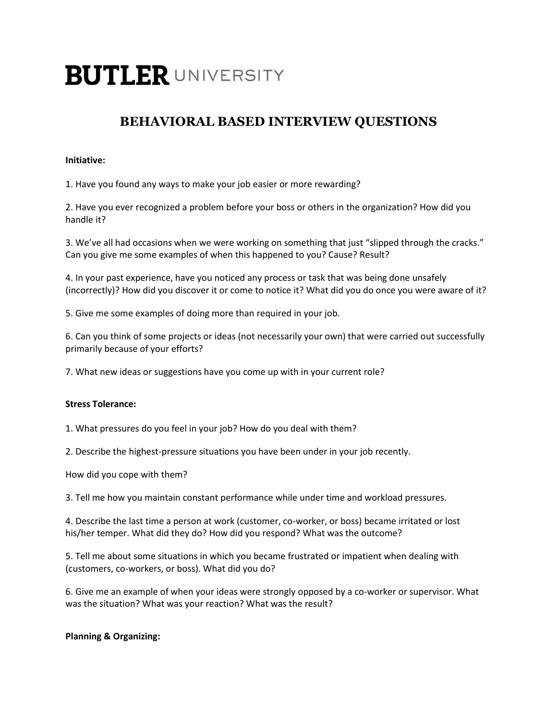# **BUTLER UNIVERSITY**

# **BEHAVIORAL BASED INTERVIEW QUESTIONS**

# **Initiative:**

1. Have you found any ways to make your job easier or more rewarding?

2. Have you ever recognized a problem before your boss or others in the organization? How did you handle it?

3. We've all had occasions when we were working on something that just "slipped through the cracks." Can you give me some examples of when this happened to you? Cause? Result?

4. In your past experience, have you noticed any process or task that was being done unsafely (incorrectly)? How did you discover it or come to notice it? What did you do once you were aware of it?

5. Give me some examples of doing more than required in your job.

6. Can you think of some projects or ideas (not necessarily your own) that were carried out successfully primarily because of your efforts?

7. What new ideas or suggestions have you come up with in your current role?

# **Stress Tolerance:**

1. What pressures do you feel in your job? How do you deal with them?

2. Describe the highest-pressure situations you have been under in your job recently.

How did you cope with them?

3. Tell me how you maintain constant performance while under time and workload pressures.

4. Describe the last time a person at work (customer, co-worker, or boss) became irritated or lost his/her temper. What did they do? How did you respond? What was the outcome?

5. Tell me about some situations in which you became frustrated or impatient when dealing with (customers, co-workers, or boss). What did you do?

6. Give me an example of when your ideas were strongly opposed by a co-worker or supervisor. What was the situation? What was your reaction? What was the result?

# **Planning & Organizing:**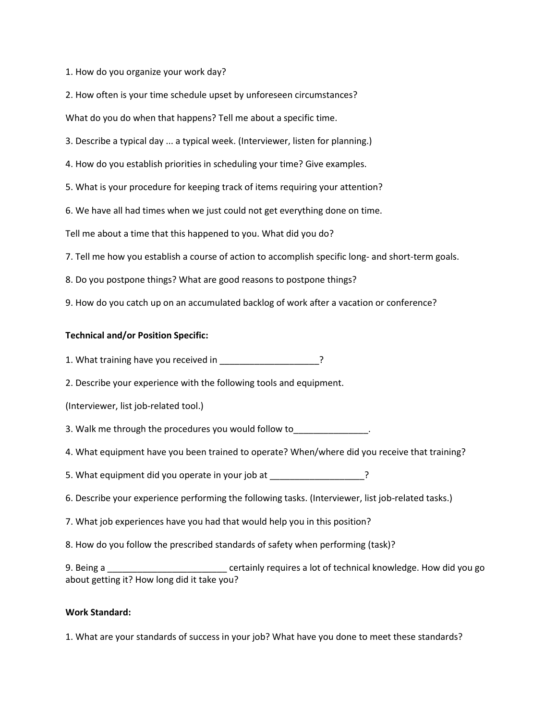1. How do you organize your work day?

2. How often is your time schedule upset by unforeseen circumstances?

What do you do when that happens? Tell me about a specific time.

3. Describe a typical day ... a typical week. (Interviewer, listen for planning.)

4. How do you establish priorities in scheduling your time? Give examples.

5. What is your procedure for keeping track of items requiring your attention?

6. We have all had times when we just could not get everything done on time.

Tell me about a time that this happened to you. What did you do?

7. Tell me how you establish a course of action to accomplish specific long- and short-term goals.

8. Do you postpone things? What are good reasons to postpone things?

9. How do you catch up on an accumulated backlog of work after a vacation or conference?

#### **Technical and/or Position Specific:**

1. What training have you received in \_\_\_\_\_\_\_\_\_\_\_\_\_\_\_\_\_\_\_\_\_?

2. Describe your experience with the following tools and equipment.

(Interviewer, list job-related tool.)

3. Walk me through the procedures you would follow to

4. What equipment have you been trained to operate? When/where did you receive that training?

5. What equipment did you operate in your job at \_\_\_\_\_\_\_\_\_\_\_\_\_\_\_\_\_\_\_?

6. Describe your experience performing the following tasks. (Interviewer, list job-related tasks.)

7. What job experiences have you had that would help you in this position?

8. How do you follow the prescribed standards of safety when performing (task)?

9. Being a same certainly requires a lot of technical knowledge. How did you go about getting it? How long did it take you?

#### **Work Standard:**

1. What are your standards of success in your job? What have you done to meet these standards?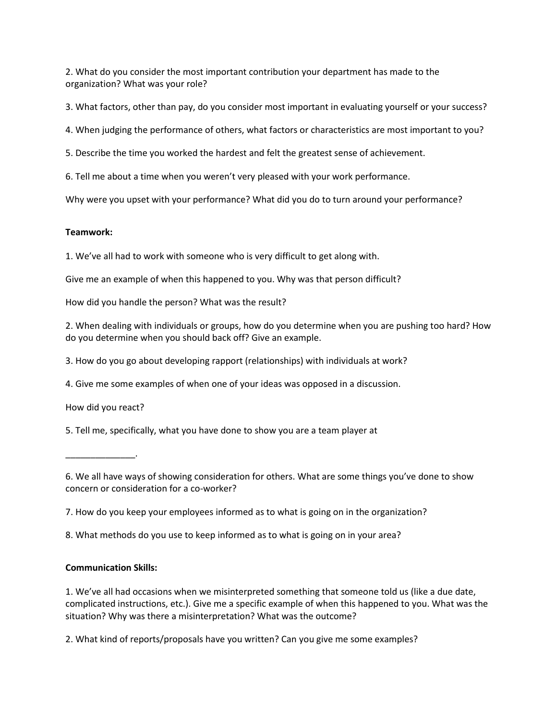2. What do you consider the most important contribution your department has made to the organization? What was your role?

3. What factors, other than pay, do you consider most important in evaluating yourself or your success?

4. When judging the performance of others, what factors or characteristics are most important to you?

5. Describe the time you worked the hardest and felt the greatest sense of achievement.

6. Tell me about a time when you weren't very pleased with your work performance.

Why were you upset with your performance? What did you do to turn around your performance?

#### **Teamwork:**

1. We've all had to work with someone who is very difficult to get along with.

Give me an example of when this happened to you. Why was that person difficult?

How did you handle the person? What was the result?

2. When dealing with individuals or groups, how do you determine when you are pushing too hard? How do you determine when you should back off? Give an example.

3. How do you go about developing rapport (relationships) with individuals at work?

4. Give me some examples of when one of your ideas was opposed in a discussion.

How did you react?

5. Tell me, specifically, what you have done to show you are a team player at

\_\_\_\_\_\_\_\_\_\_\_\_\_\_.

6. We all have ways of showing consideration for others. What are some things you've done to show concern or consideration for a co-worker?

7. How do you keep your employees informed as to what is going on in the organization?

8. What methods do you use to keep informed as to what is going on in your area?

### **Communication Skills:**

1. We've all had occasions when we misinterpreted something that someone told us (like a due date, complicated instructions, etc.). Give me a specific example of when this happened to you. What was the situation? Why was there a misinterpretation? What was the outcome?

2. What kind of reports/proposals have you written? Can you give me some examples?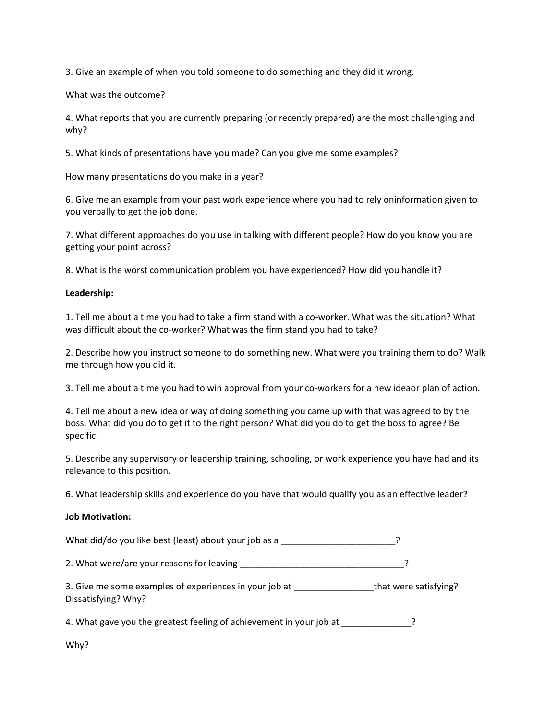3. Give an example of when you told someone to do something and they did it wrong.

What was the outcome?

4. What reports that you are currently preparing (or recently prepared) are the most challenging and why?

5. What kinds of presentations have you made? Can you give me some examples?

How many presentations do you make in a year?

6. Give me an example from your past work experience where you had to rely oninformation given to you verbally to get the job done.

7. What different approaches do you use in talking with different people? How do you know you are getting your point across?

8. What is the worst communication problem you have experienced? How did you handle it?

#### **Leadership:**

1. Tell me about a time you had to take a firm stand with a co-worker. What was the situation? What was difficult about the co-worker? What was the firm stand you had to take?

2. Describe how you instruct someone to do something new. What were you training them to do? Walk me through how you did it.

3. Tell me about a time you had to win approval from your co-workers for a new ideaor plan of action.

4. Tell me about a new idea or way of doing something you came up with that was agreed to by the boss. What did you do to get it to the right person? What did you do to get the boss to agree? Be specific.

5. Describe any supervisory or leadership training, schooling, or work experience you have had and its relevance to this position.

6. What leadership skills and experience do you have that would qualify you as an effective leader?

#### **Job Motivation:**

What did/do you like best (least) about your job as a \_\_\_\_\_\_\_\_\_\_\_\_\_\_\_\_\_\_\_\_\_\_\_\_\_?

2. What were/are your reasons for leaving \_\_\_\_\_\_\_\_\_\_\_\_\_\_\_\_\_\_\_\_\_\_\_\_\_\_\_\_\_\_\_\_\_?

3. Give me some examples of experiences in your job at \_\_\_\_\_\_\_\_\_\_\_\_\_\_\_\_\_\_that were satisfying? Dissatisfying? Why?

4. What gave you the greatest feeling of achievement in your job at  $\sim$ 

Why?